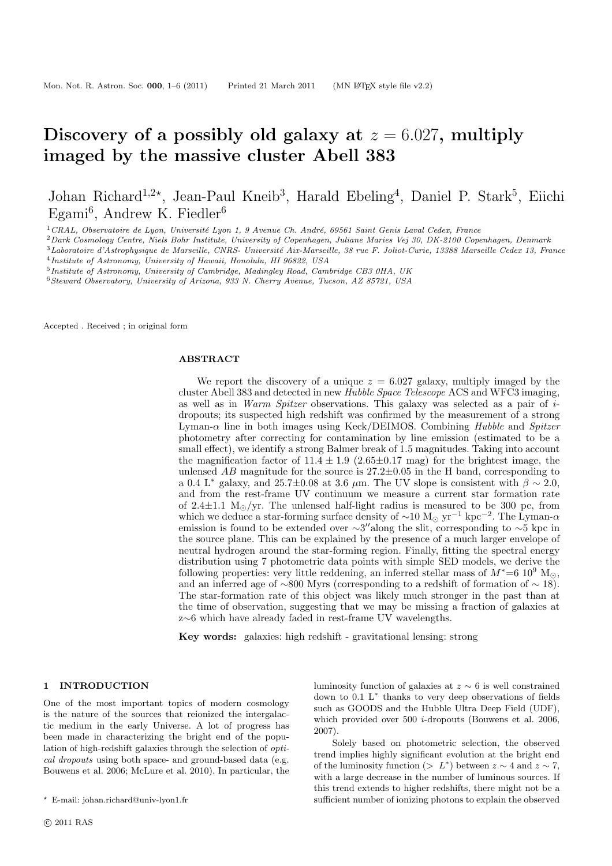# Discovery of a possibly old galaxy at  $z = 6.027$ , multiply imaged by the massive cluster Abell 383

Johan Richard<sup>1,2\*</sup>, Jean-Paul Kneib<sup>3</sup>, Harald Ebeling<sup>4</sup>, Daniel P. Stark<sup>5</sup>, Eiichi Egami<sup>6</sup>, Andrew K. Fiedler<sup>6</sup>

 $1$ CRAL, Observatoire de Lyon, Université Lyon 1, 9 Avenue Ch. André, 69561 Saint Genis Laval Cedex, France

<sup>2</sup>Dark Cosmology Centre, Niels Bohr Institute, University of Copenhagen, Juliane Maries Vej 30, DK-2100 Copenhagen, Denmark

 $3$ Laboratoire d'Astrophysique de Marseille, CNRS- Université Aix-Marseille, 38 rue F. Joliot-Curie, 13388 Marseille Cedex 13, France 4 Institute of Astronomy, University of Hawaii, Honolulu, HI 96822, USA

<sup>5</sup>Institute of Astronomy, University of Cambridge, Madingley Road, Cambridge CB3 0HA, UK

<sup>6</sup>Steward Observatory, University of Arizona, 933 N. Cherry Avenue, Tucson, AZ 85721, USA

Accepted . Received ; in original form

#### ABSTRACT

We report the discovery of a unique  $z = 6.027$  galaxy, multiply imaged by the cluster Abell 383 and detected in new Hubble Space Telescope ACS and WFC3 imaging, as well as in *Warm Spitzer* observations. This galaxy was selected as a pair of  $i$ dropouts; its suspected high redshift was confirmed by the measurement of a strong Lyman- $\alpha$  line in both images using Keck/DEIMOS. Combining Hubble and Spitzer photometry after correcting for contamination by line emission (estimated to be a small effect), we identify a strong Balmer break of 1.5 magnitudes. Taking into account the magnification factor of  $11.4 \pm 1.9$  (2.65 $\pm$ 0.17 mag) for the brightest image, the unlensed  $AB$  magnitude for the source is  $27.2 \pm 0.05$  in the H band, corresponding to a 0.4 L<sup>∗</sup> galaxy, and 25.7±0.08 at 3.6  $\mu$ m. The UV slope is consistent with  $\beta \sim 2.0$ , and from the rest-frame UV continuum we measure a current star formation rate of 2.4 $\pm$ 1.1 M<sub>☉</sub>/yr. The unlensed half-light radius is measured to be 300 pc, from which we deduce a star-forming surface density of  $\sim 10 \text{ M}_{\odot} \text{ yr}^{-1} \text{ kpc}^{-2}$ . The Lyman- $\alpha$ emission is found to be extended over  $\sim 3''$ along the slit, corresponding to  $\sim 5$  kpc in the source plane. This can be explained by the presence of a much larger envelope of neutral hydrogen around the star-forming region. Finally, fitting the spectral energy distribution using 7 photometric data points with simple SED models, we derive the following properties: very little reddening, an inferred stellar mass of  $M^*=6~10^9$  M<sub>☉</sub>, and an inferred age of ~800 Myrs (corresponding to a redshift of formation of ~ 18). The star-formation rate of this object was likely much stronger in the past than at the time of observation, suggesting that we may be missing a fraction of galaxies at z∼6 which have already faded in rest-frame UV wavelengths.

Key words: galaxies: high redshift - gravitational lensing: strong

### 1 INTRODUCTION

One of the most important topics of modern cosmology is the nature of the sources that reionized the intergalactic medium in the early Universe. A lot of progress has been made in characterizing the bright end of the population of high-redshift galaxies through the selection of optical dropouts using both space- and ground-based data (e.g. Bouwens et al. 2006; McLure et al. 2010). In particular, the luminosity function of galaxies at  $z \sim 6$  is well constrained down to 0.1 L<sup>∗</sup> thanks to very deep observations of fields such as GOODS and the Hubble Ultra Deep Field (UDF), which provided over  $500$  *i*-dropouts (Bouwens et al. 2006, 2007).

Solely based on photometric selection, the observed trend implies highly significant evolution at the bright end of the luminosity function (>  $L^*$ ) between  $z \sim 4$  and  $z \sim 7$ , with a large decrease in the number of luminous sources. If this trend extends to higher redshifts, there might not be a sufficient number of ionizing photons to explain the observed

<sup>⋆</sup> E-mail: johan.richard@univ-lyon1.fr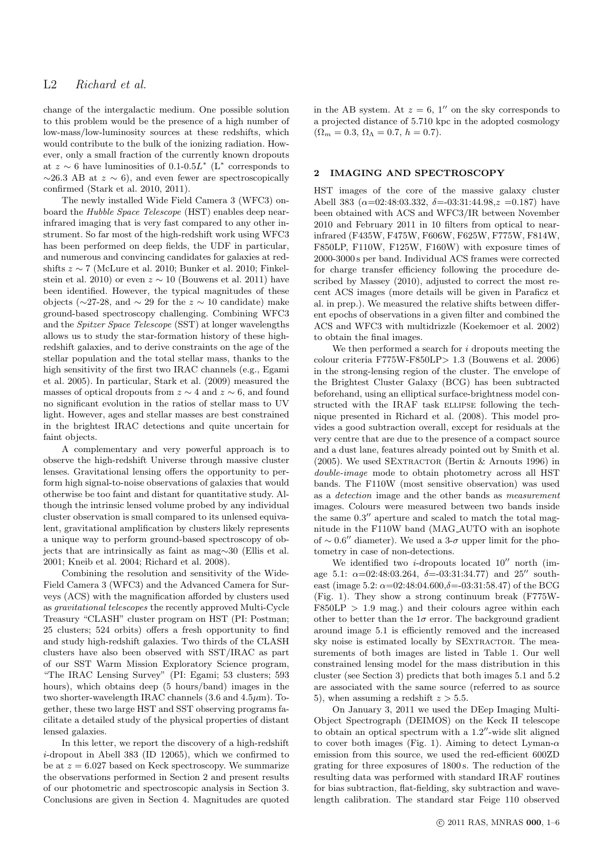change of the intergalactic medium. One possible solution to this problem would be the presence of a high number of low-mass/low-luminosity sources at these redshifts, which would contribute to the bulk of the ionizing radiation. However, only a small fraction of the currently known dropouts at  $z \sim 6$  have luminosities of 0.1-0.5L<sup>\*</sup> (L<sup>\*</sup> corresponds to  $\sim$ 26.3 AB at  $z \sim 6$ ), and even fewer are spectroscopically confirmed (Stark et al. 2010, 2011).

The newly installed Wide Field Camera 3 (WFC3) onboard the Hubble Space Telescope (HST) enables deep nearinfrared imaging that is very fast compared to any other instrument. So far most of the high-redshift work using WFC3 has been performed on deep fields, the UDF in particular, and numerous and convincing candidates for galaxies at redshifts  $z \sim 7$  (McLure et al. 2010; Bunker et al. 2010; Finkelstein et al. 2010) or even  $z \sim 10$  (Bouwens et al. 2011) have been identified. However, the typical magnitudes of these objects ( $\sim$ 27-28, and  $\sim$  29 for the  $z \sim 10$  candidate) make ground-based spectroscopy challenging. Combining WFC3 and the Spitzer Space Telescope (SST) at longer wavelengths allows us to study the star-formation history of these highredshift galaxies, and to derive constraints on the age of the stellar population and the total stellar mass, thanks to the high sensitivity of the first two IRAC channels (e.g., Egami et al. 2005). In particular, Stark et al. (2009) measured the masses of optical dropouts from  $z \sim 4$  and  $z \sim 6$ , and found no significant evolution in the ratios of stellar mass to UV light. However, ages and stellar masses are best constrained in the brightest IRAC detections and quite uncertain for faint objects.

A complementary and very powerful approach is to observe the high-redshift Universe through massive cluster lenses. Gravitational lensing offers the opportunity to perform high signal-to-noise observations of galaxies that would otherwise be too faint and distant for quantitative study. Although the intrinsic lensed volume probed by any individual cluster observation is small compared to its unlensed equivalent, gravitational amplification by clusters likely represents a unique way to perform ground-based spectroscopy of objects that are intrinsically as faint as mag∼30 (Ellis et al. 2001; Kneib et al. 2004; Richard et al. 2008).

Combining the resolution and sensitivity of the Wide-Field Camera 3 (WFC3) and the Advanced Camera for Surveys (ACS) with the magnification afforded by clusters used as gravitational telescopes the recently approved Multi-Cycle Treasury "CLASH" cluster program on HST (PI: Postman; 25 clusters; 524 orbits) offers a fresh opportunity to find and study high-redshift galaxies. Two thirds of the CLASH clusters have also been observed with SST/IRAC as part of our SST Warm Mission Exploratory Science program, "The IRAC Lensing Survey" (PI: Egami; 53 clusters; 593 hours), which obtains deep (5 hours/band) images in the two shorter-wavelength IRAC channels  $(3.6 \text{ and } 4.5 \mu \text{m})$ . Together, these two large HST and SST observing programs facilitate a detailed study of the physical properties of distant lensed galaxies.

In this letter, we report the discovery of a high-redshift i-dropout in Abell 383 (ID 12065), which we confirmed to be at  $z = 6.027$  based on Keck spectroscopy. We summarize the observations performed in Section 2 and present results of our photometric and spectroscopic analysis in Section 3. Conclusions are given in Section 4. Magnitudes are quoted in the AB system. At  $z = 6$ , 1'' on the sky corresponds to a projected distance of 5.710 kpc in the adopted cosmology  $(\Omega_m = 0.3, \Omega_\Lambda = 0.7, h = 0.7).$ 

### 2 IMAGING AND SPECTROSCOPY

HST images of the core of the massive galaxy cluster Abell 383 ( $\alpha$ =02:48:03.332,  $\delta$ =-03:31:44.98, $z$  =0.187) have been obtained with ACS and WFC3/IR between November 2010 and February 2011 in 10 filters from optical to nearinfrared (F435W, F475W, F606W, F625W, F775W, F814W, F850LP, F110W, F125W, F160W) with exposure times of 2000-3000 s per band. Individual ACS frames were corrected for charge transfer efficiency following the procedure described by Massey (2010), adjusted to correct the most recent ACS images (more details will be given in Paraficz et al. in prep.). We measured the relative shifts between different epochs of observations in a given filter and combined the ACS and WFC3 with multidrizzle (Koekemoer et al. 2002) to obtain the final images.

We then performed a search for  $i$  dropouts meeting the colour criteria  $F775W-F850LP > 1.3$  (Bouwens et al. 2006) in the strong-lensing region of the cluster. The envelope of the Brightest Cluster Galaxy (BCG) has been subtracted beforehand, using an elliptical surface-brightness model constructed with the IRAF task ELLIPSE following the technique presented in Richard et al. (2008). This model provides a good subtraction overall, except for residuals at the very centre that are due to the presence of a compact source and a dust lane, features already pointed out by Smith et al. (2005). We used SEXTRACTOR (Bertin  $\&$  Arnouts 1996) in double-image mode to obtain photometry across all HST bands. The F110W (most sensitive observation) was used as a detection image and the other bands as measurement images. Colours were measured between two bands inside the same 0.3′′ aperture and scaled to match the total magnitude in the F110W band (MAG AUTO with an isophote of  $\sim 0.6''$  diameter). We used a 3- $\sigma$  upper limit for the photometry in case of non-detections.

We identified two  $i$ -dropouts located  $10''$  north (image 5.1:  $\alpha = 02:48:03.264$ ,  $\delta = -03:31:34.77$  and  $25''$  southeast (image 5.2:  $\alpha = 02:48:04.600,\delta = -03:31:58.47$ ) of the BCG (Fig. 1). They show a strong continuum break (F775W- $F850LP > 1.9$  mag.) and their colours agree within each other to better than the  $1\sigma$  error. The background gradient around image 5.1 is efficiently removed and the increased sky noise is estimated locally by SEXTRACTOR. The measurements of both images are listed in Table 1. Our well constrained lensing model for the mass distribution in this cluster (see Section 3) predicts that both images 5.1 and 5.2 are associated with the same source (referred to as source 5), when assuming a redshift  $z > 5.5$ .

On January 3, 2011 we used the DEep Imaging Multi-Object Spectrograph (DEIMOS) on the Keck II telescope to obtain an optical spectrum with a 1.2′′-wide slit aligned to cover both images (Fig. 1). Aiming to detect Lyman- $\alpha$ emission from this source, we used the red-efficient 600ZD grating for three exposures of 1800 s. The reduction of the resulting data was performed with standard IRAF routines for bias subtraction, flat-fielding, sky subtraction and wavelength calibration. The standard star Feige 110 observed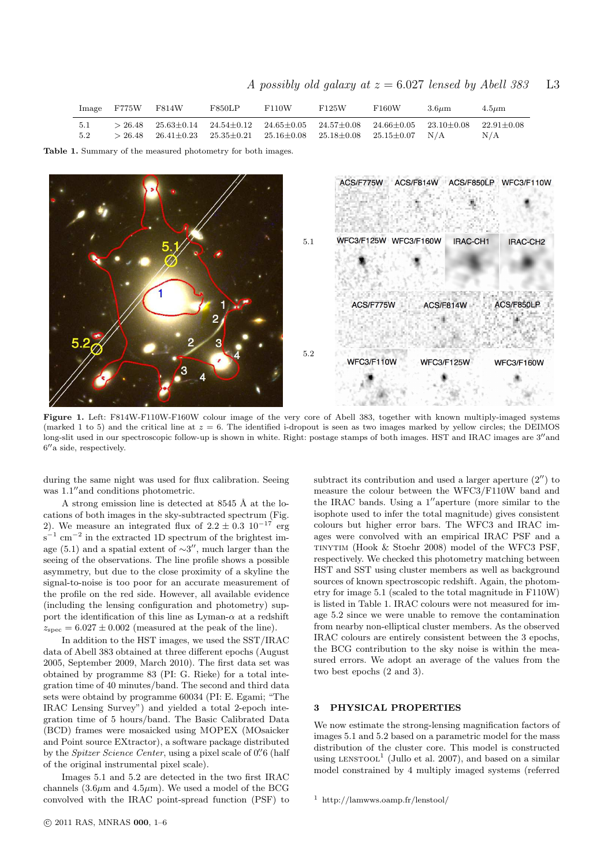A possibly old galaxy at  $z = 6.027$  lensed by Abell 383 L3

|            | Image F775W F814W |                                                                                                                                                                                                           | F850LP | F110W | F125W | F160W | $3.6 \mu m$ | $4.5 \mu m$           |
|------------|-------------------|-----------------------------------------------------------------------------------------------------------------------------------------------------------------------------------------------------------|--------|-------|-------|-------|-------------|-----------------------|
| 5.1<br>5.2 |                   | $> 26.48$ $25.63\pm0.14$ $24.54\pm0.12$ $24.65\pm0.05$ $24.57\pm0.08$ $24.66\pm0.05$ $23.10\pm0.08$<br>$> 26.48$ $26.41 \pm 0.23$ $25.35 \pm 0.21$ $25.16 \pm 0.08$ $25.18 \pm 0.08$ $25.15 \pm 0.07$ N/A |        |       |       |       |             | $22.91 + 0.08$<br>N/A |

Table 1. Summary of the measured photometry for both images.



Figure 1. Left: F814W-F110W-F160W colour image of the very core of Abell 383, together with known multiply-imaged systems (marked 1 to 5) and the critical line at  $z = 6$ . The identified i-dropout is seen as two images marked by yellow circles; the DEIMOS long-slit used in our spectroscopic follow-up is shown in white. Right: postage stamps of both images. HST and IRAC images are 3<sup>'</sup>and 6 ′′a side, respectively.

during the same night was used for flux calibration. Seeing was  $1.1''$  and conditions photometric.

A strong emission line is detected at  $8545 \text{ Å}$  at the locations of both images in the sky-subtracted spectrum (Fig. 2). We measure an integrated flux of  $2.2 \pm 0.3$   $10^{-17}$  erg  $s^{-1}$  cm<sup>-2</sup> in the extracted 1D spectrum of the brightest image (5.1) and a spatial extent of  $\sim$ 3", much larger than the seeing of the observations. The line profile shows a possible asymmetry, but due to the close proximity of a skyline the signal-to-noise is too poor for an accurate measurement of the profile on the red side. However, all available evidence (including the lensing configuration and photometry) support the identification of this line as  $Lyman-\alpha$  at a redshift  $z_{\rm spec} = 6.027 \pm 0.002$  (measured at the peak of the line).

In addition to the HST images, we used the SST/IRAC data of Abell 383 obtained at three different epochs (August 2005, September 2009, March 2010). The first data set was obtained by programme 83 (PI: G. Rieke) for a total integration time of 40 minutes/band. The second and third data sets were obtaind by programme 60034 (PI: E. Egami; "The IRAC Lensing Survey") and yielded a total 2-epoch integration time of 5 hours/band. The Basic Calibrated Data (BCD) frames were mosaicked using MOPEX (MOsaicker and Point source EXtractor), a software package distributed by the *Spitzer Science Center*, using a pixel scale of 0.<sup>"</sup> 6 (half of the original instrumental pixel scale).

Images 5.1 and 5.2 are detected in the two first IRAC channels  $(3.6\mu m$  and  $4.5\mu m$ ). We used a model of the BCG convolved with the IRAC point-spread function (PSF) to

subtract its contribution and used a larger aperture  $(2'')$  to measure the colour between the WFC3/F110W band and the IRAC bands. Using a 1′′aperture (more similar to the isophote used to infer the total magnitude) gives consistent colours but higher error bars. The WFC3 and IRAC images were convolved with an empirical IRAC PSF and a tinytim (Hook & Stoehr 2008) model of the WFC3 PSF, respectively. We checked this photometry matching between HST and SST using cluster members as well as background sources of known spectroscopic redshift. Again, the photometry for image 5.1 (scaled to the total magnitude in F110W) is listed in Table 1. IRAC colours were not measured for image 5.2 since we were unable to remove the contamination from nearby non-elliptical cluster members. As the observed IRAC colours are entirely consistent between the 3 epochs, the BCG contribution to the sky noise is within the measured errors. We adopt an average of the values from the two best epochs (2 and 3).

### 3 PHYSICAL PROPERTIES

We now estimate the strong-lensing magnification factors of images 5.1 and 5.2 based on a parametric model for the mass distribution of the cluster core. This model is constructed using LENSTOOL<sup>1</sup> (Jullo et al. 2007), and based on a similar model constrained by 4 multiply imaged systems (referred

<sup>1</sup> http://lamwws.oamp.fr/lenstool/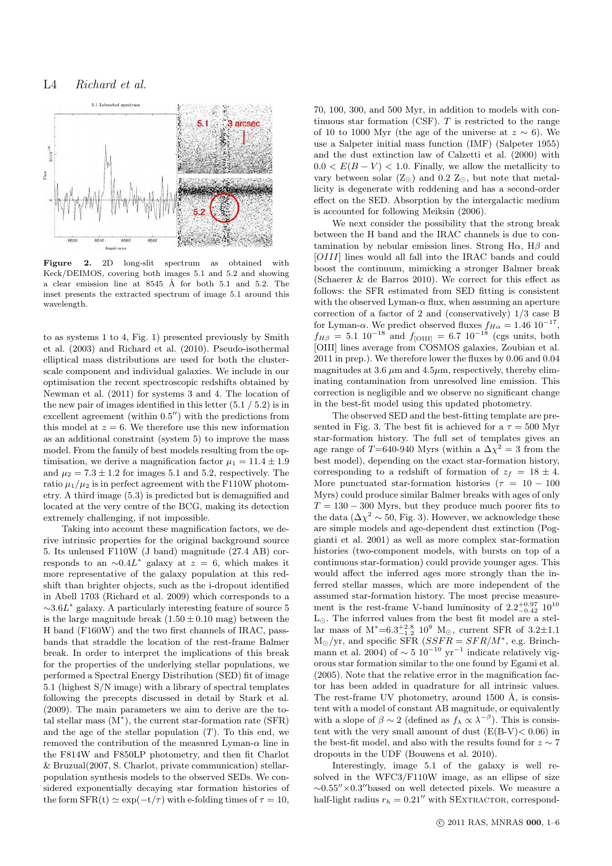## L4 Richard et al.



Figure 2. 2D long-slit spectrum as obtained with Keck/DEIMOS, covering both images 5.1 and 5.2 and showing a clear emission line at 8545 Å for both 5.1 and 5.2. The inset presents the extracted spectrum of image 5.1 around this wavelength.

to as systems 1 to 4, Fig. 1) presented previously by Smith et al. (2003) and Richard et al. (2010). Pseudo-isothermal elliptical mass distributions are used for both the clusterscale component and individual galaxies. We include in our optimisation the recent spectroscopic redshifts obtained by Newman et al. (2011) for systems 3 and 4. The location of the new pair of images identified in this letter (5.1 / 5.2) is in excellent agreement (within 0.5′′) with the predictions from this model at  $z = 6$ . We therefore use this new information as an additional constraint (system 5) to improve the mass model. From the family of best models resulting from the optimisation, we derive a magnification factor  $\mu_1 = 11.4 \pm 1.9$ and  $\mu_2 = 7.3 \pm 1.2$  for images 5.1 and 5.2, respectively. The ratio  $\mu_1/\mu_2$  is in perfect agreement with the F110W photometry. A third image (5.3) is predicted but is demagnified and located at the very centre of the BCG, making its detection extremely challenging, if not impossible.

Taking into account these magnification factors, we derive intrinsic properties for the original background source 5. Its unlensed F110W (J band) magnitude (27.4 AB) corresponds to an  $\sim 0.4L^*$  galaxy at  $z = 6$ , which makes it more representative of the galaxy population at this redshift than brighter objects, such as the i-dropout identified in Abell 1703 (Richard et al. 2009) which corresponds to a  $\sim 3.6L^*$  galaxy. A particularly interesting feature of source 5 is the large magnitude break  $(1.50 \pm 0.10$  mag) between the H band (F160W) and the two first channels of IRAC, passbands that straddle the location of the rest-frame Balmer break. In order to interpret the implications of this break for the properties of the underlying stellar populations, we performed a Spectral Energy Distribution (SED) fit of image 5.1 (highest S/N image) with a library of spectral templates following the precepts discussed in detail by Stark et al. (2009). The main parameters we aim to derive are the total stellar mass (M<sup>∗</sup> ), the current star-formation rate (SFR) and the age of the stellar population  $(T)$ . To this end, we removed the contribution of the measured Lyman- $\alpha$  line in the F814W and F850LP photometry, and then fit Charlot & Bruzual(2007, S. Charlot, private communication) stellarpopulation synthesis models to the observed SEDs. We considered exponentially decaying star formation histories of the form  $SFR(t) \simeq \exp(-t/\tau)$  with e-folding times of  $\tau = 10$ ,

70, 100, 300, and 500 Myr, in addition to models with continuous star formation  $(CSF)$ . T is restricted to the range of 10 to 1000 Myr (the age of the universe at  $z \sim 6$ ). We use a Salpeter initial mass function (IMF) (Salpeter 1955) and the dust extinction law of Calzetti et al. (2000) with  $0.0 < E(B-V) < 1.0$ . Finally, we allow the metallicity to vary between solar  $(Z_{\odot})$  and 0.2  $Z_{\odot}$ , but note that metallicity is degenerate with reddening and has a second-order effect on the SED. Absorption by the intergalactic medium is accounted for following Meiksin (2006).

We next consider the possibility that the strong break between the H band and the IRAC channels is due to contamination by nebular emission lines. Strong H $\alpha$ , H $\beta$  and [OIII] lines would all fall into the IRAC bands and could boost the continuum, mimicking a stronger Balmer break (Schaerer & de Barros 2010). We correct for this effect as follows: the SFR estimated from SED fitting is consistent with the observed Lyman- $\alpha$  flux, when assuming an aperture correction of a factor of 2 and (conservatively) 1/3 case B for Lyman- $\alpha$ . We predict observed fluxes  $f_{H\alpha} = 1.46 \; 10^{-17}$ ,  $f_{H\beta} = 5.1 \; 10^{-18}$  and  $f_{\text{[OIII]}} = 6.7 \; 10^{-18}$  (cgs units, both [OIII] lines average from COSMOS galaxies, Zoubian et al. 2011 in prep.). We therefore lower the fluxes by 0.06 and 0.04 magnitudes at 3.6  $\mu$ m and 4.5 $\mu$ m, respectively, thereby eliminating contamination from unresolved line emission. This correction is negligible and we observe no significant change in the best-fit model using this updated photometry.

The observed SED and the best-fitting template are presented in Fig. 3. The best fit is achieved for a  $\tau = 500$  Myr star-formation history. The full set of templates gives an age range of T=640-940 Myrs (within a  $\Delta \chi^2 = 3$  from the best model), depending on the exact star-formation history, corresponding to a redshift of formation of  $z_f = 18 \pm 4$ . More punctuated star-formation histories ( $\tau = 10 - 100$ ) Myrs) could produce similar Balmer breaks with ages of only  $T = 130 - 300$  Myrs, but they produce much poorer fits to the data  $(\Delta \chi^2 \sim 50, \text{Fig. 3}).$  However, we acknowledge these are simple models and age-dependent dust extinction (Poggianti et al. 2001) as well as more complex star-formation histories (two-component models, with bursts on top of a continuous star-formation) could provide younger ages. This would affect the inferred ages more strongly than the inferred stellar masses, which are more independent of the assumed star-formation history. The most precise measurement is the rest-frame V-band luminosity of  $2.2^{+0.97}_{-0.42}$   $10^{10}$ L⊙. The inferred values from the best fit model are a stellar mass of  $M^* = 6.3^{+2.8}_{-1.2} 10^9$  M<sub>☉</sub>, current SFR of 3.2 $\pm$ 1.1  $M_{\odot}/yr$ , and specific SFR (*SSFR* = *SFR/M*<sup>\*</sup>, e.g. Brinchmann et al. 2004) of  $\sim 5 \times 10^{-10} \text{ yr}^{-1}$  indicate relatively vigorous star formation similar to the one found by Egami et al. (2005). Note that the relative error in the magnification factor has been added in quadrature for all intrinsic values. The rest-frame UV photometry, around  $1500 \text{ Å}$ , is consistent with a model of constant AB magnitude, or equivalently with a slope of  $\beta \sim 2$  (defined as  $f_{\lambda} \propto \lambda^{-\beta}$ ). This is consistent with the very small amount of dust  $(E(B-V) < 0.06)$  in the best-fit model, and also with the results found for  $z \sim 7$ dropouts in the UDF (Bouwens et al. 2010).

Interestingly, image 5.1 of the galaxy is well resolved in the WFC3/F110W image, as an ellipse of size  $\sim 0.55'' \times 0.3''$ based on well detected pixels. We measure a half-light radius  $r_h = 0.21''$  with SEXTRACTOR, correspond-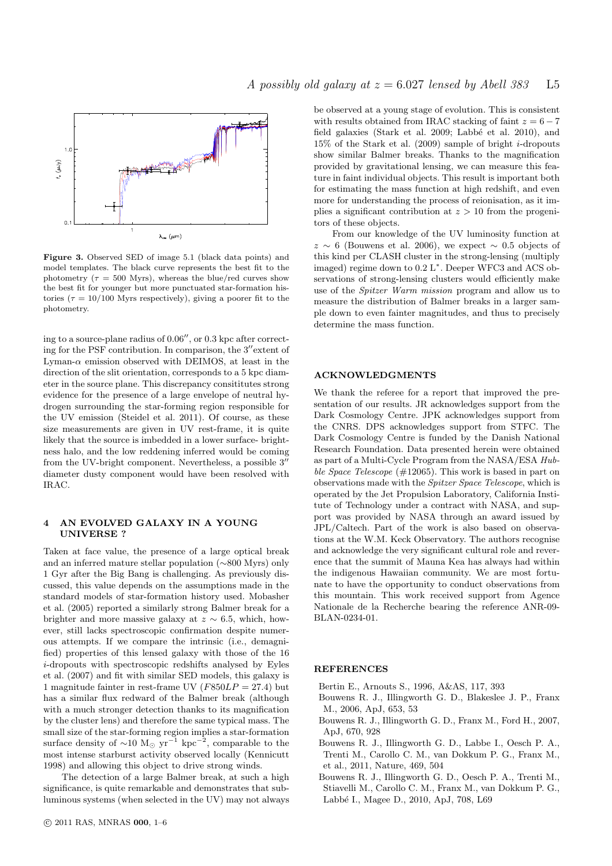

Figure 3. Observed SED of image 5.1 (black data points) and model templates. The black curve represents the best fit to the photometry ( $\tau = 500$  Myrs), whereas the blue/red curves show the best fit for younger but more punctuated star-formation histories ( $\tau = 10/100$  Myrs respectively), giving a poorer fit to the photometry.

ing to a source-plane radius of 0.06′′, or 0.3 kpc after correcting for the PSF contribution. In comparison, the 3′′extent of Lyman- $\alpha$  emission observed with DEIMOS, at least in the direction of the slit orientation, corresponds to a 5 kpc diameter in the source plane. This discrepancy consititutes strong evidence for the presence of a large envelope of neutral hydrogen surrounding the star-forming region responsible for the UV emission (Steidel et al. 2011). Of course, as these size measurements are given in UV rest-frame, it is quite likely that the source is imbedded in a lower surface- brightness halo, and the low reddening inferred would be coming from the UV-bright component. Nevertheless, a possible 3′′ diameter dusty component would have been resolved with IRAC.

### 4 AN EVOLVED GALAXY IN A YOUNG UNIVERSE ?

Taken at face value, the presence of a large optical break and an inferred mature stellar population (∼800 Myrs) only 1 Gyr after the Big Bang is challenging. As previously discussed, this value depends on the assumptions made in the standard models of star-formation history used. Mobasher et al. (2005) reported a similarly strong Balmer break for a brighter and more massive galaxy at  $z \sim 6.5$ , which, however, still lacks spectroscopic confirmation despite numerous attempts. If we compare the intrinsic (i.e., demagnified) properties of this lensed galaxy with those of the 16 i-dropouts with spectroscopic redshifts analysed by Eyles et al. (2007) and fit with similar SED models, this galaxy is 1 magnitude fainter in rest-frame UV ( $F850LP = 27.4$ ) but has a similar flux redward of the Balmer break (although with a much stronger detection thanks to its magnification by the cluster lens) and therefore the same typical mass. The small size of the star-forming region implies a star-formation surface density of  $\sim 10 \, \text{M}_{\odot} \, \text{yr}^{-1} \, \text{kpc}^{-2}$ , comparable to the most intense starburst activity observed locally (Kennicutt 1998) and allowing this object to drive strong winds.

The detection of a large Balmer break, at such a high significance, is quite remarkable and demonstrates that subluminous systems (when selected in the UV) may not always be observed at a young stage of evolution. This is consistent with results obtained from IRAC stacking of faint  $z = 6 - 7$ field galaxies (Stark et al. 2009; Labbé et al. 2010), and 15% of the Stark et al. (2009) sample of bright i-dropouts show similar Balmer breaks. Thanks to the magnification provided by gravitational lensing, we can measure this feature in faint individual objects. This result is important both for estimating the mass function at high redshift, and even more for understanding the process of reionisation, as it implies a significant contribution at  $z > 10$  from the progenitors of these objects.

From our knowledge of the UV luminosity function at  $z \sim 6$  (Bouwens et al. 2006), we expect ~ 0.5 objects of this kind per CLASH cluster in the strong-lensing (multiply imaged) regime down to  $0.2 L<sup>*</sup>$ . Deeper WFC3 and ACS observations of strong-lensing clusters would efficiently make use of the Spitzer Warm mission program and allow us to measure the distribution of Balmer breaks in a larger sample down to even fainter magnitudes, and thus to precisely determine the mass function.

#### ACKNOWLEDGMENTS

We thank the referee for a report that improved the presentation of our results. JR acknowledges support from the Dark Cosmology Centre. JPK acknowledges support from the CNRS. DPS acknowledges support from STFC. The Dark Cosmology Centre is funded by the Danish National Research Foundation. Data presented herein were obtained as part of a Multi-Cycle Program from the NASA/ESA Hubble Space Telescope (#12065). This work is based in part on observations made with the Spitzer Space Telescope, which is operated by the Jet Propulsion Laboratory, California Institute of Technology under a contract with NASA, and support was provided by NASA through an award issued by JPL/Caltech. Part of the work is also based on observations at the W.M. Keck Observatory. The authors recognise and acknowledge the very significant cultural role and reverence that the summit of Mauna Kea has always had within the indigenous Hawaiian community. We are most fortunate to have the opportunity to conduct observations from this mountain. This work received support from Agence Nationale de la Recherche bearing the reference ANR-09- BLAN-0234-01.

### **REFERENCES**

Bertin E., Arnouts S., 1996, A&AS, 117, 393

- Bouwens R. J., Illingworth G. D., Blakeslee J. P., Franx M., 2006, ApJ, 653, 53
- Bouwens R. J., Illingworth G. D., Franx M., Ford H., 2007, ApJ, 670, 928
- Bouwens R. J., Illingworth G. D., Labbe I., Oesch P. A., Trenti M., Carollo C. M., van Dokkum P. G., Franx M., et al., 2011, Nature, 469, 504
- Bouwens R. J., Illingworth G. D., Oesch P. A., Trenti M., Stiavelli M., Carollo C. M., Franx M., van Dokkum P. G., Labbé I., Magee D., 2010, ApJ, 708, L69